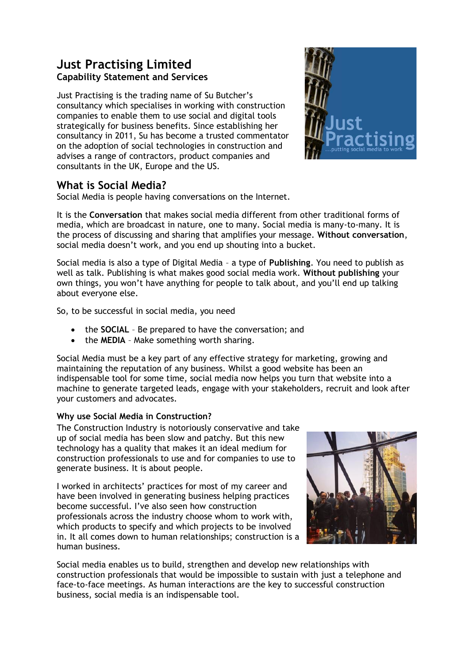# **Just Practising Limited Capability Statement and Services**

Just Practising is the trading name of Su Butcher's consultancy which specialises in working with construction companies to enable them to use social and digital tools strategically for business benefits. Since establishing her consultancy in 2011, Su has become a trusted commentator on the adoption of social technologies in construction and advises a range of contractors, product companies and consultants in the UK, Europe and the US.



# **What is Social Media?**

Social Media is people having conversations on the Internet.

It is the **Conversation** that makes social media different from other traditional forms of media, which are broadcast in nature, one to many. Social media is many-to-many. It is the process of discussing and sharing that amplifies your message. **Without conversation**, social media doesn't work, and you end up shouting into a bucket.

Social media is also a type of Digital Media – a type of **Publishing**. You need to publish as well as talk. Publishing is what makes good social media work. **Without publishing** your own things, you won't have anything for people to talk about, and you'll end up talking about everyone else.

So, to be successful in social media, you need

- the **SOCIAL** Be prepared to have the conversation; and
- the **MEDIA** Make something worth sharing.

Social Media must be a key part of any effective strategy for marketing, growing and maintaining the reputation of any business. Whilst a good website has been an indispensable tool for some time, social media now helps you turn that website into a machine to generate targeted leads, engage with your stakeholders, recruit and look after your customers and advocates.

## **Why use Social Media in Construction?**

The Construction Industry is notoriously conservative and take up of social media has been slow and patchy. But this new technology has a quality that makes it an ideal medium for construction professionals to use and for companies to use to generate business. It is about people.

I worked in architects' practices for most of my career and have been involved in generating business helping practices become successful. I've also seen how construction professionals across the industry choose whom to work with, which products to specify and which projects to be involved in. It all comes down to human relationships; construction is a human business.



Social media enables us to build, strengthen and develop new relationships with construction professionals that would be impossible to sustain with just a telephone and face-to-face meetings. As human interactions are the key to successful construction business, social media is an indispensable tool.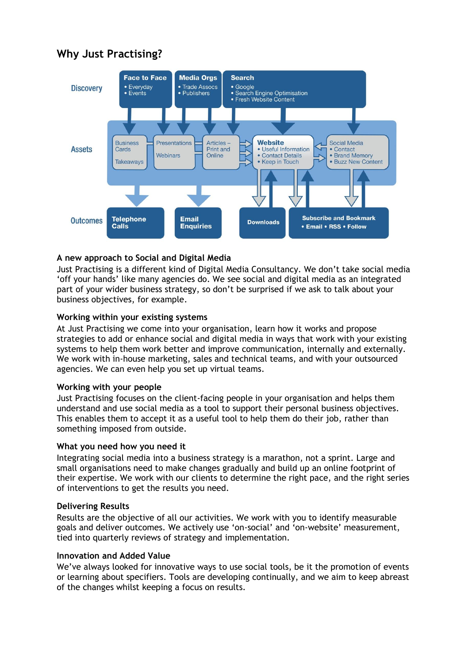# **Why Just Practising?**



### **A new approach to Social and Digital Media**

Just Practising is a different kind of Digital Media Consultancy. We don't take social media 'off your hands' like many agencies do. We see social and digital media as an integrated part of your wider business strategy, so don't be surprised if we ask to talk about your business objectives, for example.

### **Working within your existing systems**

At Just Practising we come into your organisation, learn how it works and propose strategies to add or enhance social and digital media in ways that work with your existing systems to help them work better and improve communication, internally and externally. We work with in-house marketing, sales and technical teams, and with your outsourced agencies. We can even help you set up virtual teams.

### **Working with your people**

Just Practising focuses on the client-facing people in your organisation and helps them understand and use social media as a tool to support their personal business objectives. This enables them to accept it as a useful tool to help them do their job, rather than something imposed from outside.

### **What you need how you need it**

Integrating social media into a business strategy is a marathon, not a sprint. Large and small organisations need to make changes gradually and build up an online footprint of their expertise. We work with our clients to determine the right pace, and the right series of interventions to get the results you need.

### **Delivering Results**

Results are the objective of all our activities. We work with you to identify measurable goals and deliver outcomes. We actively use 'on-social' and 'on-website' measurement, tied into quarterly reviews of strategy and implementation.

### **Innovation and Added Value**

We've always looked for innovative ways to use social tools, be it the promotion of events or learning about specifiers. Tools are developing continually, and we aim to keep abreast of the changes whilst keeping a focus on results.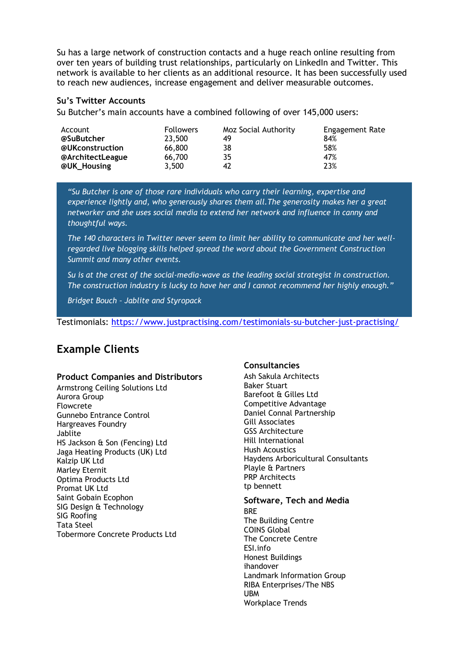Su has a large network of construction contacts and a huge reach online resulting from over ten years of building trust relationships, particularly on LinkedIn and Twitter. This network is available to her clients as an additional resource. It has been successfully used to reach new audiences, increase engagement and deliver measurable outcomes.

### **Su's Twitter Accounts**

Su Butcher's main accounts have a combined following of over 145,000 users:

| Account          | <b>Followers</b> | Moz Social Authority | Engagement Rate |
|------------------|------------------|----------------------|-----------------|
| @SuButcher       | 23,500           | 49                   | 84%             |
| @UKconstruction  | 66,800           | 38                   | 58%             |
| @ArchitectLeague | 66,700           | 35                   | 47%             |
| @UK_Housing      | 3,500            | 42                   | 23%             |

*"Su Butcher is one of those rare individuals who carry their learning, expertise and experience lightly and, who generously shares them all.The generosity makes her a great networker and she uses social media to extend her network and influence in canny and thoughtful ways.*

*The 140 characters in Twitter never seem to limit her ability to communicate and her wellregarded live blogging skills helped spread the word about the Government Construction Summit and many other events.*

*Su is at the crest of the social-media-wave as the leading social strategist in construction. The construction industry is lucky to have her and I cannot recommend her highly enough."*

*Bridget Bouch – Jablite and Styropack*

Testimonials:<https://www.justpractising.com/testimonials-su-butcher-just-practising/>

# **Example Clients**

### **Product Companies and Distributors**

Armstrong Ceiling Solutions Ltd Aurora Group Flowcrete Gunnebo Entrance Control Hargreaves Foundry Jablite HS Jackson & Son (Fencing) Ltd Jaga Heating Products (UK) Ltd Kalzip UK Ltd Marley Eternit Optima Products Ltd Promat UK Ltd Saint Gobain Ecophon SIG Design & Technology SIG Roofing Tata Steel Tobermore Concrete Products Ltd

### **Consultancies**

Ash Sakula Architects Baker Stuart Barefoot & Gilles Ltd Competitive Advantage Daniel Connal Partnership Gill Associates GSS Architecture Hill International Hush Acoustics Haydens Arboricultural Consultants Playle & Partners PRP Architects tp bennett

# **Software, Tech and Media**

BRE The Building Centre COINS Global The Concrete Centre ESI.info Honest Buildings ihandover Landmark Information Group RIBA Enterprises/The NBS **IIRM** Workplace Trends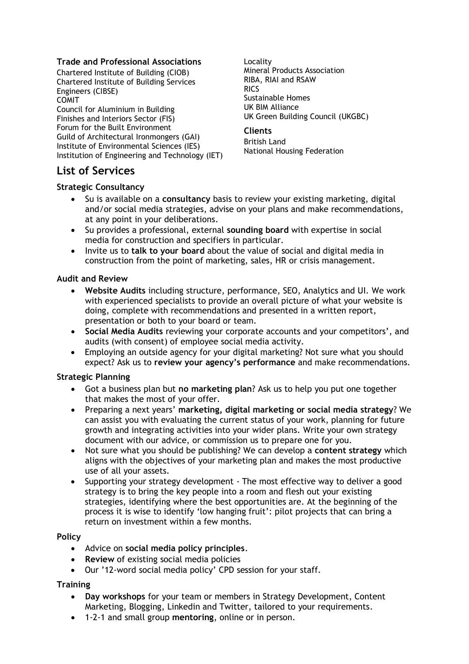### **Trade and Professional Associations**

Chartered Institute of Building (CIOB) Chartered Institute of Building Services Engineers (CIBSE) COMIT Council for Aluminium in Building Finishes and Interiors Sector (FIS) Forum for the Built Environment Guild of Architectural Ironmongers (GAI) Institute of Environmental Sciences (IES) Institution of Engineering and Technology (IET)

Locality Mineral Products Association RIBA, RIAI and RSAW RICS Sustainable Homes UK BIM Alliance UK Green Building Council (UKGBC)

### **Clients**

British Land National Housing Federation

## **List of Services**

### **Strategic Consultancy**

- Su is available on a **consultancy** basis to review your existing marketing, digital and/or social media strategies, advise on your plans and make recommendations, at any point in your deliberations.
- Su provides a professional, external **sounding board** with expertise in social media for construction and specifiers in particular.
- Invite us to **talk to your board** about the value of social and digital media in construction from the point of marketing, sales, HR or crisis management.

### **Audit and Review**

- **Website Audits** including structure, performance, SEO, Analytics and UI. We work with experienced specialists to provide an overall picture of what your website is doing, complete with recommendations and presented in a written report, presentation or both to your board or team.
- **Social Media Audits** reviewing your corporate accounts and your competitors', and audits (with consent) of employee social media activity.
- Employing an outside agency for your digital marketing? Not sure what you should expect? Ask us to **review your agency's performance** and make recommendations.

### **Strategic Planning**

- Got a business plan but **no marketing plan**? Ask us to help you put one together that makes the most of your offer.
- Preparing a next years' **marketing, digital marketing or social media strategy**? We can assist you with evaluating the current status of your work, planning for future growth and integrating activities into your wider plans. Write your own strategy document with our advice, or commission us to prepare one for you.
- Not sure what you should be publishing? We can develop a **content strategy** which aligns with the objectives of your marketing plan and makes the most productive use of all your assets.
- Supporting your strategy development The most effective way to deliver a good strategy is to bring the key people into a room and flesh out your existing strategies, identifying where the best opportunities are. At the beginning of the process it is wise to identify 'low hanging fruit': pilot projects that can bring a return on investment within a few months.

### **Policy**

- Advice on **social media policy principles**.
- **Review** of existing social media policies
- Our '12-word social media policy' CPD session for your staff.

### **Training**

- **Day workshops** for your team or members in Strategy Development, Content Marketing, Blogging, Linkedin and Twitter, tailored to your requirements.
- 1-2-1 and small group **mentoring**, online or in person.